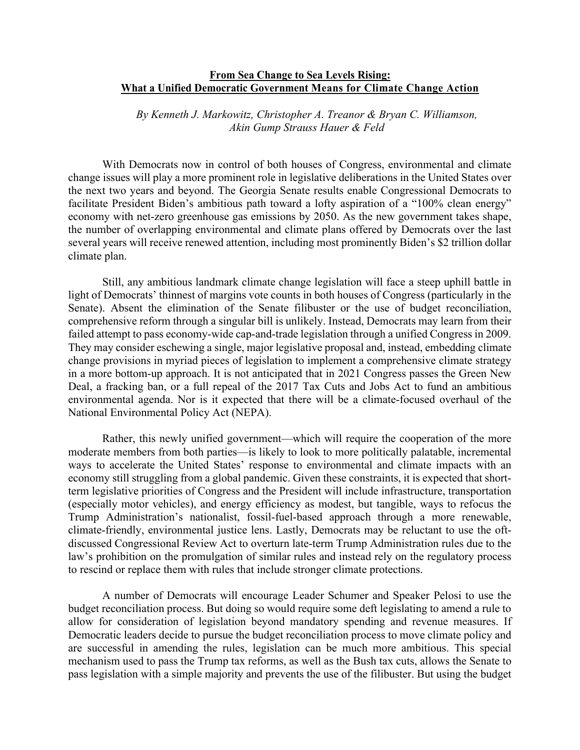## **[From Sea Change to Sea Levels Rising:](https://www.akingump.com/en/experience/industries/energy/speaking-energy/from-sea-change-to-rising-sea-levels-what-a-newly-unified-democratic-government-means-for-the-future-of-environmental-regulation-and-climate-action.html)  [What a Unified Democratic Government](https://www.akingump.com/en/experience/industries/energy/speaking-energy/from-sea-change-to-rising-sea-levels-what-a-newly-unified-democratic-government-means-for-the-future-of-environmental-regulation-and-climate-action.html) [Means for Climate Change Action](https://www.akingump.com/en/experience/industries/energy/speaking-energy/from-sea-change-to-rising-sea-levels-what-a-newly-unified-democratic-government-means-for-the-future-of-environmental-regulation-and-climate-action.html)**

*By [Kenneth J. Markowitz,](https://www.akingump.com/en/lawyers-advisors/kenneth-j-markowitz.html) [Christopher A. Treanor](https://www.akingump.com/en/lawyers-advisors/christopher-a-treanor.html) & [Bryan C. Williamson,](https://www.akingump.com/en/lawyers-advisors/bryan-c-williamson.html) Akin Gump Strauss Hauer & Feld*

With Democrats now in control of both houses of Congress, environmental and climate change issues will play a more prominent role in legislative deliberations in the United States over the next two years and beyond. The Georgia Senate results enable Congressional Democrats to facilitate President Biden's ambitious path toward a lofty aspiration of a "100% clean energy" economy with net-zero greenhouse gas emissions by 2050. As the new government takes shape, the number of overlapping environmental and climate plans offered by Democrats over the last several years will receive renewed attention, including most prominently Biden's \$2 trillion dollar climate plan.

Still, any ambitious landmark climate change legislation will face a steep uphill battle in light of Democrats' thinnest of margins vote counts in both houses of Congress (particularly in the Senate). Absent the elimination of the Senate filibuster or the use of budget reconciliation, comprehensive reform through a singular bill is unlikely. Instead, Democrats may learn from their failed attempt to pass economy-wide cap-and-trade legislation through a unified Congress in 2009. They may consider eschewing a single, major legislative proposal and, instead, embedding climate change provisions in myriad pieces of legislation to implement a comprehensive climate strategy in a more bottom-up approach. It is not anticipated that in 2021 Congress passes the Green New Deal, a fracking ban, or a full repeal of the 2017 Tax Cuts and Jobs Act to fund an ambitious environmental agenda. Nor is it expected that there will be a climate-focused overhaul of the National Environmental Policy Act (NEPA).

Rather, this newly unified government—which will require the cooperation of the more moderate members from both parties—is likely to look to more politically palatable, incremental ways to accelerate the United States' response to environmental and climate impacts with an economy still struggling from a global pandemic. Given these constraints, it is expected that shortterm legislative priorities of Congress and the President will include infrastructure, transportation (especially motor vehicles), and energy efficiency as modest, but tangible, ways to refocus the Trump Administration's nationalist, fossil-fuel-based approach through a more renewable, climate-friendly, environmental justice lens. Lastly, Democrats may be reluctant to use the oftdiscussed Congressional Review Act to overturn late-term Trump Administration rules due to the law's prohibition on the promulgation of similar rules and instead rely on the regulatory process to rescind or replace them with rules that include stronger climate protections.

A number of Democrats will encourage Leader Schumer and Speaker Pelosi to use the budget reconciliation process. But doing so would require some deft legislating to amend a rule to allow for consideration of legislation beyond mandatory spending and revenue measures. If Democratic leaders decide to pursue the budget reconciliation process to move climate policy and are successful in amending the rules, legislation can be much more ambitious. This special mechanism used to pass the Trump tax reforms, as well as the Bush tax cuts, allows the Senate to pass legislation with a simple majority and prevents the use of the filibuster. But using the budget